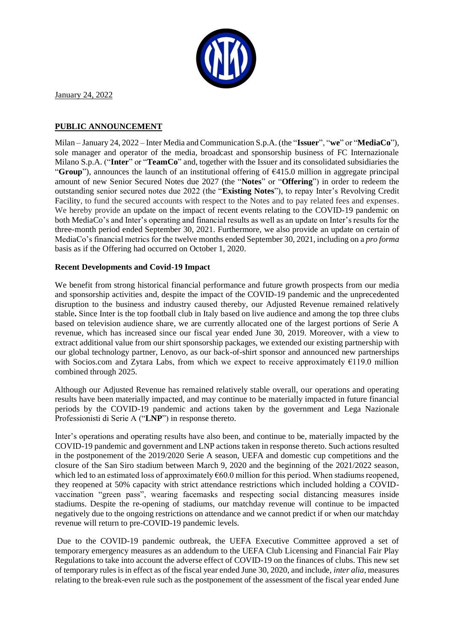

January 24, 2022

# **PUBLIC ANNOUNCEMENT**

Milan – January 24, 2022 – Inter Media and Communication S.p.A. (the "**Issuer**", "**we**" or "**MediaCo**"), sole manager and operator of the media, broadcast and sponsorship business of FC Internazionale Milano S.p.A. ("**Inter**" or "**TeamCo**" and, together with the Issuer and its consolidated subsidiaries the "**Group**"), announces the launch of an institutional offering of €415.0 million in aggregate principal amount of new Senior Secured Notes due 2027 (the "**Notes**" or "**Offering**") in order to redeem the outstanding senior secured notes due 2022 (the "**Existing Notes**"), to repay Inter's Revolving Credit Facility, to fund the secured accounts with respect to the Notes and to pay related fees and expenses. We hereby provide an update on the impact of recent events relating to the COVID-19 pandemic on both MediaCo's and Inter's operating and financial results as well as an update on Inter's results for the three-month period ended September 30, 2021. Furthermore, we also provide an update on certain of MediaCo's financial metrics for the twelve months ended September 30, 2021, including on a *pro forma* basis as if the Offering had occurred on October 1, 2020.

## **Recent Developments and Covid-19 Impact**

We benefit from strong historical financial performance and future growth prospects from our media and sponsorship activities and, despite the impact of the COVID-19 pandemic and the unprecedented disruption to the business and industry caused thereby, our Adjusted Revenue remained relatively stable**.** Since Inter is the top football club in Italy based on live audience and among the top three clubs based on television audience share, we are currently allocated one of the largest portions of Serie A revenue, which has increased since our fiscal year ended June 30, 2019. Moreover, with a view to extract additional value from our shirt sponsorship packages, we extended our existing partnership with our global technology partner, Lenovo, as our back-of-shirt sponsor and announced new partnerships with Socios.com and Zytara Labs, from which we expect to receive approximately  $E119.0$  million combined through 2025.

Although our Adjusted Revenue has remained relatively stable overall, our operations and operating results have been materially impacted, and may continue to be materially impacted in future financial periods by the COVID-19 pandemic and actions taken by the government and Lega Nazionale Professionisti di Serie A ("**LNP**") in response thereto.

Inter's operations and operating results have also been, and continue to be, materially impacted by the COVID-19 pandemic and government and LNP actions taken in response thereto. Such actions resulted in the postponement of the 2019/2020 Serie A season, UEFA and domestic cup competitions and the closure of the San Siro stadium between March 9, 2020 and the beginning of the 2021/2022 season, which led to an estimated loss of approximately  $660.0$  million for this period. When stadiums reopened, they reopened at 50% capacity with strict attendance restrictions which included holding a COVIDvaccination "green pass", wearing facemasks and respecting social distancing measures inside stadiums. Despite the re-opening of stadiums, our matchday revenue will continue to be impacted negatively due to the ongoing restrictions on attendance and we cannot predict if or when our matchday revenue will return to pre-COVID-19 pandemic levels.

Due to the COVID-19 pandemic outbreak, the UEFA Executive Committee approved a set of temporary emergency measures as an addendum to the UEFA Club Licensing and Financial Fair Play Regulations to take into account the adverse effect of COVID-19 on the finances of clubs. This new set of temporary rules is in effect as of the fiscal year ended June 30, 2020, and include, *inter alia*, measures relating to the break-even rule such as the postponement of the assessment of the fiscal year ended June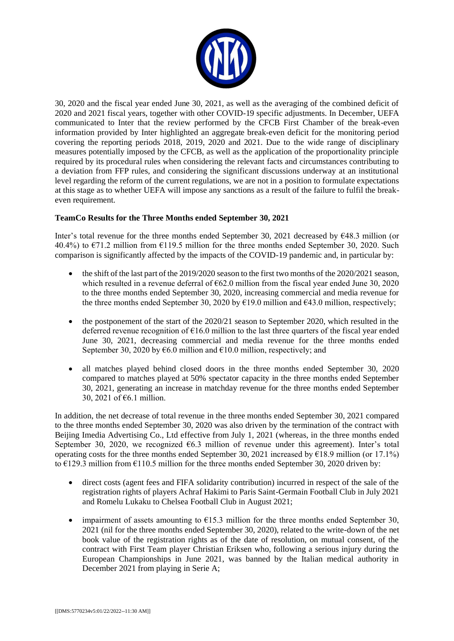

30, 2020 and the fiscal year ended June 30, 2021, as well as the averaging of the combined deficit of 2020 and 2021 fiscal years, together with other COVID-19 specific adjustments. In December, UEFA communicated to Inter that the review performed by the CFCB First Chamber of the break-even information provided by Inter highlighted an aggregate break-even deficit for the monitoring period covering the reporting periods 2018, 2019, 2020 and 2021. Due to the wide range of disciplinary measures potentially imposed by the CFCB, as well as the application of the proportionality principle required by its procedural rules when considering the relevant facts and circumstances contributing to a deviation from FFP rules, and considering the significant discussions underway at an institutional level regarding the reform of the current regulations, we are not in a position to formulate expectations at this stage as to whether UEFA will impose any sanctions as a result of the failure to fulfil the breakeven requirement.

## **TeamCo Results for the Three Months ended September 30, 2021**

Inter's total revenue for the three months ended September 30, 2021 decreased by €48.3 million (or 40.4%) to  $\epsilon$ 71.2 million from  $\epsilon$ 119.5 million for the three months ended September 30, 2020. Such comparison is significantly affected by the impacts of the COVID-19 pandemic and, in particular by:

- the shift of the last part of the 2019/2020 season to the first two months of the 2020/2021 season, which resulted in a revenue deferral of  $\epsilon$ 62.0 million from the fiscal year ended June 30, 2020 to the three months ended September 30, 2020, increasing commercial and media revenue for the three months ended September 30, 2020 by  $\epsilon$ 19.0 million and  $\epsilon$ 43.0 million, respectively;
- the postponement of the start of the 2020/21 season to September 2020, which resulted in the deferred revenue recognition of  $\epsilon$ 16.0 million to the last three quarters of the fiscal year ended June 30, 2021, decreasing commercial and media revenue for the three months ended September 30, 2020 by  $\epsilon$ 6.0 million and  $\epsilon$ 10.0 million, respectively; and
- all matches played behind closed doors in the three months ended September 30, 2020 compared to matches played at 50% spectator capacity in the three months ended September 30, 2021, generating an increase in matchday revenue for the three months ended September 30, 2021 of €6.1 million.

In addition, the net decrease of total revenue in the three months ended September 30, 2021 compared to the three months ended September 30, 2020 was also driven by the termination of the contract with Beijing Imedia Advertising Co., Ltd effective from July 1, 2021 (whereas, in the three months ended September 30, 2020, we recognized  $66.3$  million of revenue under this agreement). Inter's total operating costs for the three months ended September 30, 2021 increased by  $\epsilon$ 18.9 million (or 17.1%) to  $\epsilon$ 129.3 million from  $\epsilon$ 110.5 million for the three months ended September 30, 2020 driven by:

- direct costs (agent fees and FIFA solidarity contribution) incurred in respect of the sale of the registration rights of players Achraf Hakimi to Paris Saint-Germain Football Club in July 2021 and Romelu Lukaku to Chelsea Football Club in August 2021;
- impairment of assets amounting to  $E$ 15.3 million for the three months ended September 30, 2021 (nil for the three months ended September 30, 2020), related to the write-down of the net book value of the registration rights as of the date of resolution, on mutual consent, of the contract with First Team player Christian Eriksen who, following a serious injury during the European Championships in June 2021, was banned by the Italian medical authority in December 2021 from playing in Serie A;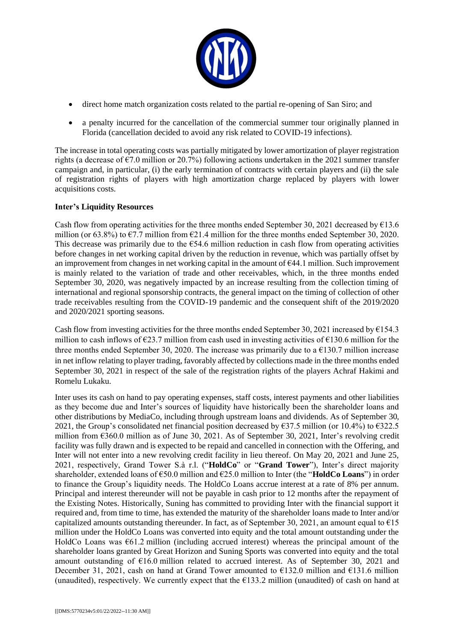

- direct home match organization costs related to the partial re-opening of San Siro; and
- a penalty incurred for the cancellation of the commercial summer tour originally planned in Florida (cancellation decided to avoid any risk related to COVID-19 infections).

The increase in total operating costs was partially mitigated by lower amortization of player registration rights (a decrease of  $\epsilon$ 7.0 million or 20.7%) following actions undertaken in the 2021 summer transfer campaign and, in particular, (i) the early termination of contracts with certain players and (ii) the sale of registration rights of players with high amortization charge replaced by players with lower acquisitions costs.

## **Inter's Liquidity Resources**

Cash flow from operating activities for the three months ended September 30, 2021 decreased by  $\epsilon$ 13.6 million (or 63.8%) to  $\epsilon$ 7.7 million from  $\epsilon$ 21.4 million for the three months ended September 30, 2020. This decrease was primarily due to the  $654.6$  million reduction in cash flow from operating activities before changes in net working capital driven by the reduction in revenue, which was partially offset by an improvement from changes in net working capital in the amount of €44.1 million. Such improvement is mainly related to the variation of trade and other receivables, which, in the three months ended September 30, 2020, was negatively impacted by an increase resulting from the collection timing of international and regional sponsorship contracts, the general impact on the timing of collection of other trade receivables resulting from the COVID-19 pandemic and the consequent shift of the 2019/2020 and 2020/2021 sporting seasons.

Cash flow from investing activities for the three months ended September 30, 2021 increased by  $\epsilon$ 154.3 million to cash inflows of  $\epsilon$ 23.7 million from cash used in investing activities of  $\epsilon$ 130.6 million for the three months ended September 30, 2020. The increase was primarily due to a  $\epsilon$ 130.7 million increase in net inflow relating to player trading, favorably affected by collections made in the three months ended September 30, 2021 in respect of the sale of the registration rights of the players Achraf Hakimi and Romelu Lukaku.

Inter uses its cash on hand to pay operating expenses, staff costs, interest payments and other liabilities as they become due and Inter's sources of liquidity have historically been the shareholder loans and other distributions by MediaCo, including through upstream loans and dividends. As of September 30, 2021, the Group's consolidated net financial position decreased by  $\epsilon$ 37.5 million (or 10.4%) to  $\epsilon$ 322.5 million from €360.0 million as of June 30, 2021. As of September 30, 2021, Inter's revolving credit facility was fully drawn and is expected to be repaid and cancelled in connection with the Offering, and Inter will not enter into a new revolving credit facility in lieu thereof. On May 20, 2021 and June 25, 2021, respectively, Grand Tower S.à r.l. ("**HoldCo**" or "**Grand Tower**"), Inter's direct majority shareholder, extended loans of €50.0 million and €25.0 million to Inter (the "**HoldCo Loans**") in order to finance the Group's liquidity needs. The HoldCo Loans accrue interest at a rate of 8% per annum. Principal and interest thereunder will not be payable in cash prior to 12 months after the repayment of the Existing Notes. Historically, Suning has committed to providing Inter with the financial support it required and, from time to time, has extended the maturity of the shareholder loans made to Inter and/or capitalized amounts outstanding thereunder. In fact, as of September 30, 2021, an amount equal to  $\epsilon$ 15 million under the HoldCo Loans was converted into equity and the total amount outstanding under the HoldCo Loans was  $661.2$  million (including accrued interest) whereas the principal amount of the shareholder loans granted by Great Horizon and Suning Sports was converted into equity and the total amount outstanding of €16.0 million related to accrued interest. As of September 30, 2021 and December 31, 2021, cash on hand at Grand Tower amounted to  $\epsilon$ 132.0 million and  $\epsilon$ 131.6 million (unaudited), respectively. We currently expect that the  $E133.2$  million (unaudited) of cash on hand at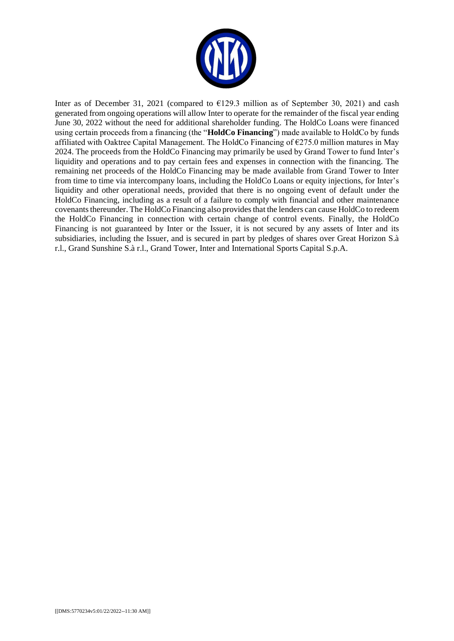

Inter as of December 31, 2021 (compared to  $\epsilon$ 129.3 million as of September 30, 2021) and cash generated from ongoing operations will allow Inter to operate for the remainder of the fiscal year ending June 30, 2022 without the need for additional shareholder funding. The HoldCo Loans were financed using certain proceeds from a financing (the "**HoldCo Financing**") made available to HoldCo by funds affiliated with Oaktree Capital Management. The HoldCo Financing of  $\epsilon$ 275.0 million matures in May 2024. The proceeds from the HoldCo Financing may primarily be used by Grand Tower to fund Inter's liquidity and operations and to pay certain fees and expenses in connection with the financing. The remaining net proceeds of the HoldCo Financing may be made available from Grand Tower to Inter from time to time via intercompany loans, including the HoldCo Loans or equity injections, for Inter's liquidity and other operational needs, provided that there is no ongoing event of default under the HoldCo Financing, including as a result of a failure to comply with financial and other maintenance covenants thereunder. The HoldCo Financing also provides that the lenders can cause HoldCo to redeem the HoldCo Financing in connection with certain change of control events. Finally, the HoldCo Financing is not guaranteed by Inter or the Issuer, it is not secured by any assets of Inter and its subsidiaries, including the Issuer, and is secured in part by pledges of shares over Great Horizon S.à r.l., Grand Sunshine S.à r.l., Grand Tower, Inter and International Sports Capital S.p.A.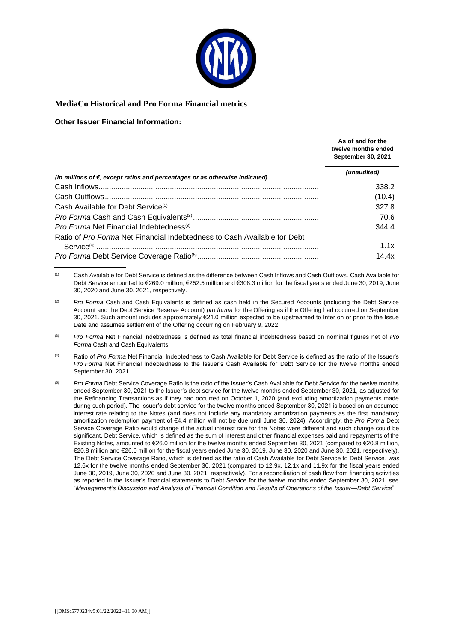

#### **MediaCo Historical and Pro Forma Financial metrics**

#### **Other Issuer Financial Information:**

|                                                                                       | As of and for the<br>twelve months ended<br><b>September 30, 2021</b> |
|---------------------------------------------------------------------------------------|-----------------------------------------------------------------------|
| (in millions of $\epsilon$ , except ratios and percentages or as otherwise indicated) | (unaudited)                                                           |
|                                                                                       | 338.2                                                                 |
|                                                                                       | (10.4)                                                                |
|                                                                                       | 327.8                                                                 |
|                                                                                       | 70.6                                                                  |
|                                                                                       | 344.4                                                                 |
| Ratio of Pro Forma Net Financial Indebtedness to Cash Available for Debt              |                                                                       |
|                                                                                       | 1.1x                                                                  |
|                                                                                       | 14.4x                                                                 |

<sup>(1)</sup> Cash Available for Debt Service is defined as the difference between Cash Inflows and Cash Outflows. Cash Available for Debt Service amounted to €269.0 million, €252.5 million and €308.3 million for the fiscal years ended June 30, 2019, June 30, 2020 and June 30, 2021, respectively.

- (3) *Pro Forma* Net Financial Indebtedness is defined as total financial indebtedness based on nominal figures net of *Pro Forma* Cash and Cash Equivalents.
- (4) Ratio of *Pro Forma* Net Financial Indebtedness to Cash Available for Debt Service is defined as the ratio of the Issuer's *Pro Forma* Net Financial Indebtedness to the Issuer's Cash Available for Debt Service for the twelve months ended September 30, 2021.
- (5) *Pro Forma* Debt Service Coverage Ratio is the ratio of the Issuer's Cash Available for Debt Service for the twelve months ended September 30, 2021 to the Issuer's debt service for the twelve months ended September 30, 2021, as adjusted for the Refinancing Transactions as if they had occurred on October 1, 2020 (and excluding amortization payments made during such period). The Issuer's debt service for the twelve months ended September 30, 2021 is based on an assumed interest rate relating to the Notes (and does not include any mandatory amortization payments as the first mandatory amortization redemption payment of €4.4 million will not be due until June 30, 2024). Accordingly, the *Pro Forma* Debt Service Coverage Ratio would change if the actual interest rate for the Notes were different and such change could be significant. Debt Service, which is defined as the sum of interest and other financial expenses paid and repayments of the Existing Notes, amounted to €26.0 million for the twelve months ended September 30, 2021 (compared to €20.8 million, €20.8 million and €26.0 million for the fiscal years ended June 30, 2019, June 30, 2020 and June 30, 2021, respectively). The Debt Service Coverage Ratio, which is defined as the ratio of Cash Available for Debt Service to Debt Service, was 12.6x for the twelve months ended September 30, 2021 (compared to 12.9x, 12.1x and 11.9x for the fiscal years ended June 30, 2019, June 30, 2020 and June 30, 2021, respectively). For a reconciliation of cash flow from financing activities as reported in the Issuer's financial statements to Debt Service for the twelve months ended September 30, 2021, see "*Management's Discussion and Analysis of Financial Condition and Results of Operations of the Issuer—Debt Service*".

<sup>&</sup>lt;sup>(2)</sup> *Pro Forma* Cash and Cash Equivalents is defined as cash held in the Secured Accounts (including the Debt Service Account and the Debt Service Reserve Account) *pro forma* for the Offering as if the Offering had occurred on September 30, 2021. Such amount includes approximately €21.0 million expected to be upstreamed to Inter on or prior to the Issue Date and assumes settlement of the Offering occurring on February 9, 2022.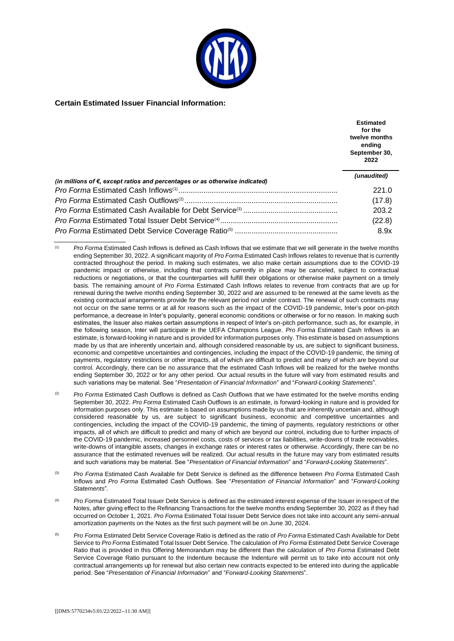

#### **Certain Estimated Issuer Financial Information:**

|                                                                                       | <b>Estimated</b><br>for the<br>twelve months<br>ending<br>September 30,<br>2022 |
|---------------------------------------------------------------------------------------|---------------------------------------------------------------------------------|
| (in millions of $\epsilon$ , except ratios and percentages or as otherwise indicated) | (unaudited)                                                                     |
|                                                                                       | 221.0                                                                           |
|                                                                                       | (17.8)                                                                          |
|                                                                                       | 203.2                                                                           |
|                                                                                       | (22.8)                                                                          |
|                                                                                       | 8.9x                                                                            |

(1) *Pro Forma* Estimated Cash Inflows is defined as Cash Inflows that we estimate that we will generate in the twelve months ending September 30, 2022. A significant majority of *Pro Forma* Estimated Cash Inflows relates to revenue that is currently contracted throughout the period. In making such estimates, we also make certain assumptions due to the COVID-19 pandemic impact or otherwise, including that contracts currently in place may be canceled, subject to contractual reductions or negotiations, or that the counterparties will fulfill their obligations or otherwise make payment on a timely basis. The remaining amount of *Pro Forma* Estimated Cash Inflows relates to revenue from contracts that are up for renewal during the twelve months ending September 30, 2022 and are assumed to be renewed at the same levels as the existing contractual arrangements provide for the relevant period not under contract. The renewal of such contracts may not occur on the same terms or at all for reasons such as the impact of the COVID-19 pandemic, Inter's poor on-pitch performance, a decrease in Inter's popularity, general economic conditions or otherwise or for no reason. In making such estimates, the Issuer also makes certain assumptions in respect of Inter's on-pitch performance, such as, for example, in the following season, Inter will participate in the UEFA Champions League. *Pro Forma* Estimated Cash Inflows is an estimate, is forward-looking in nature and is provided for information purposes only. This estimate is based on assumptions made by us that are inherently uncertain and, although considered reasonable by us, are subject to significant business, economic and competitive uncertainties and contingencies, including the impact of the COVID-19 pandemic, the timing of payments, regulatory restrictions or other impacts, all of which are difficult to predict and many of which are beyond our control. Accordingly, there can be no assurance that the estimated Cash Inflows will be realized for the twelve months ending September 30, 2022 or for any other period. Our actual results in the future will vary from estimated results and such variations may be material. See "*Presentation of Financial Information*" and "*Forward-Looking Statements*".

- <sup>(2)</sup> Pro Forma Estimated Cash Outflows is defined as Cash Outflows that we have estimated for the twelve months ending September 30, 2022. *Pro Forma* Estimated Cash Outflows is an estimate, is forward-looking in nature and is provided for information purposes only. This estimate is based on assumptions made by us that are inherently uncertain and, although considered reasonable by us, are subject to significant business, economic and competitive uncertainties and contingencies, including the impact of the COVID-19 pandemic, the timing of payments, regulatory restrictions or other impacts, all of which are difficult to predict and many of which are beyond our control, including due to further impacts of the COVID-19 pandemic, increased personnel costs, costs of services or tax liabilities, write-downs of trade receivables, write-downs of intangible assets, changes in exchange rates or interest rates or otherwise. Accordingly, there can be no assurance that the estimated revenues will be realized. Our actual results in the future may vary from estimated results and such variations may be material. See "*Presentation of Financial Information*" and "*Forward-Looking Statements*".
- (3) *Pro Forma* Estimated Cash Available for Debt Service is defined as the difference between *Pro Forma* Estimated Cash Inflows and *Pro Forma* Estimated Cash Outflows. See "*Presentation of Financial Information*" and "*Forward-Looking Statements*".
- (4) *Pro Forma* Estimated Total Issuer Debt Service is defined as the estimated interest expense of the Issuer in respect of the Notes, after giving effect to the Refinancing Transactions for the twelve months ending September 30, 2022 as if they had occurred on October 1, 2021. *Pro Forma* Estimated Total Issuer Debt Service does not take into account any semi-annual amortization payments on the Notes as the first such payment will be on June 30, 2024.
- (5) *Pro Forma* Estimated Debt Service Coverage Ratio is defined as the ratio of *Pro Forma* Estimated Cash Available for Debt Service to *Pro Forma* Estimated Total Issuer Debt Service. The calculation of *Pro Forma* Estimated Debt Service Coverage Ratio that is provided in this Offering Memorandum may be different than the calculation of *Pro Forma* Estimated Debt Service Coverage Ratio pursuant to the Indenture because the Indenture will permit us to take into account not only contractual arrangements up for renewal but also certain new contracts expected to be entered into during the applicable period. See "*Presentation of Financial Information*" and "*Forward-Looking Statements*".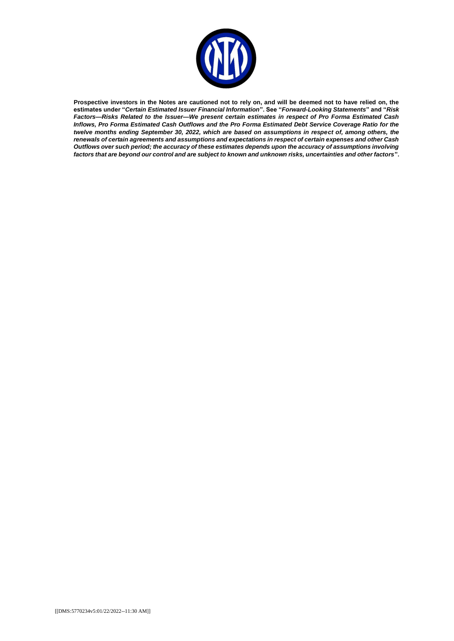

**Prospective investors in the Notes are cautioned not to rely on, and will be deemed not to have relied on, the estimates under "***Certain Estimated Issuer Financial Information***". See "***Forward-Looking Statements***" and "***Risk Factors—Risks Related to the Issuer—We present certain estimates in respect of Pro Forma Estimated Cash Inflows, Pro Forma Estimated Cash Outflows and the Pro Forma Estimated Debt Service Coverage Ratio for the twelve months ending September 30, 2022, which are based on assumptions in respect of, among others, the renewals of certain agreements and assumptions and expectations in respect of certain expenses and other Cash Outflows over such period; the accuracy of these estimates depends upon the accuracy of assumptions involving factors that are beyond our control and are subject to known and unknown risks, uncertainties and other factors***".**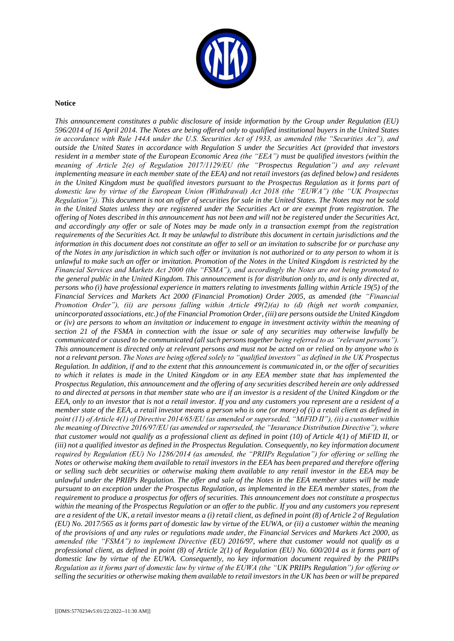

#### **Notice**

*This announcement constitutes a public disclosure of inside information by the Group under Regulation (EU) 596/2014 of 16 April 2014. The Notes are being offered only to qualified institutional buyers in the United States in accordance with Rule 144A under the U.S. Securities Act of 1933, as amended (the "Securities Act"), and outside the United States in accordance with Regulation S under the Securities Act (provided that investors resident in a member state of the European Economic Area (the "EEA") must be qualified investors (within the meaning of Article 2(e) of Regulation 2017/1129/EU (the "Prospectus Regulation") and any relevant implementing measure in each member state of the EEA) and not retail investors (as defined below) and residents in the United Kingdom must be qualified investors pursuant to the Prospectus Regulation as it forms part of domestic law by virtue of the European Union (Withdrawal) Act 2018 (the "EUWA") (the "UK Prospectus Regulation")). This document is not an offer of securities for sale in the United States. The Notes may not be sold in the United States unless they are registered under the Securities Act or are exempt from registration. The offering of Notes described in this announcement has not been and will not be registered under the Securities Act, and accordingly any offer or sale of Notes may be made only in a transaction exempt from the registration requirements of the Securities Act. It may be unlawful to distribute this document in certain jurisdictions and the information in this document does not constitute an offer to sell or an invitation to subscribe for or purchase any of the Notes in any jurisdiction in which such offer or invitation is not authorized or to any person to whom it is unlawful to make such an offer or invitation. Promotion of the Notes in the United Kingdom is restricted by the Financial Services and Markets Act 2000 (the "FSMA"), and accordingly the Notes are not being promoted to the general public in the United Kingdom. This announcement is for distribution only to, and is only directed at, persons who (i) have professional experience in matters relating to investments falling within Article 19(5) of the Financial Services and Markets Act 2000 (Financial Promotion) Order 2005, as amended (the "Financial Promotion Order"), (ii) are persons falling within Article 49(2)(a) to (d) (high net worth companies, unincorporated associations, etc.) of the Financial Promotion Order, (iii) are persons outside the United Kingdom or (iv) are persons to whom an invitation or inducement to engage in investment activity within the meaning of section 21 of the FSMA in connection with the issue or sale of any securities may otherwise lawfully be communicated or caused to be communicated (all such persons together being referred to as "relevant persons"). This announcement is directed only at relevant persons and must not be acted on or relied on by anyone who is not a relevant person. The Notes are being offered solely to "qualified investors" as defined in the UK Prospectus Regulation. In addition, if and to the extent that this announcement is communicated in, or the offer of securities to which it relates is made in the United Kingdom or in any EEA member state that has implemented the Prospectus Regulation, this announcement and the offering of any securities described herein are only addressed to and directed at persons in that member state who are if an investor is a resident of the United Kingdom or the EEA, only to an investor that is not a retail investor. If you and any customers you represent are a resident of a member state of the EEA, a retail investor means a person who is one (or more) of (i) a retail client as defined in point (11) of Article 4(1) of Directive 2014/65/EU (as amended or superseded, "MiFID II"), (ii) a customer within the meaning of Directive 2016/97/EU (as amended or superseded, the "Insurance Distribution Directive"), where that customer would not qualify as a professional client as defined in point (10) of Article 4(1) of MiFID II, or (iii)* not a qualified investor as defined in the Prospectus Regulation. Consequently, no key information document *required by Regulation (EU) No 1286/2014 (as amended, the "PRIIPs Regulation") for offering or selling the Notes or otherwise making them available to retail investors in the EEA has been prepared and therefore offering or selling such debt securities or otherwise making them available to any retail investor in the EEA may be unlawful under the PRIIPs Regulation. The offer and sale of the Notes in the EEA member states will be made pursuant to an exception under the Prospectus Regulation, as implemented in the EEA member states, from the requirement to produce a prospectus for offers of securities. This announcement does not constitute a prospectus within the meaning of the Prospectus Regulation or an offer to the public. If you and any customers you represent are a resident of the UK, a retail investor means a (i) retail client, as defined in point (8) of Article 2 of Regulation (EU) No. 2017/565 as it forms part of domestic law by virtue of the EUWA, or (ii) a customer within the meaning of the provisions of and any rules or regulations made under, the Financial Services and Markets Act 2000, as amended (the "FSMA") to implement Directive (EU) 2016/97, where that customer would not qualify as a professional client, as defined in point (8) of Article 2(1) of Regulation (EU) No. 600/2014 as it forms part of domestic law by virtue of the EUWA. Consequently, no key information document required by the PRIIPs Regulation as it forms part of domestic law by virtue of the EUWA (the "UK PRIIPs Regulation") for offering or selling the securities or otherwise making them available to retail investors in the UK has been or will be prepared*